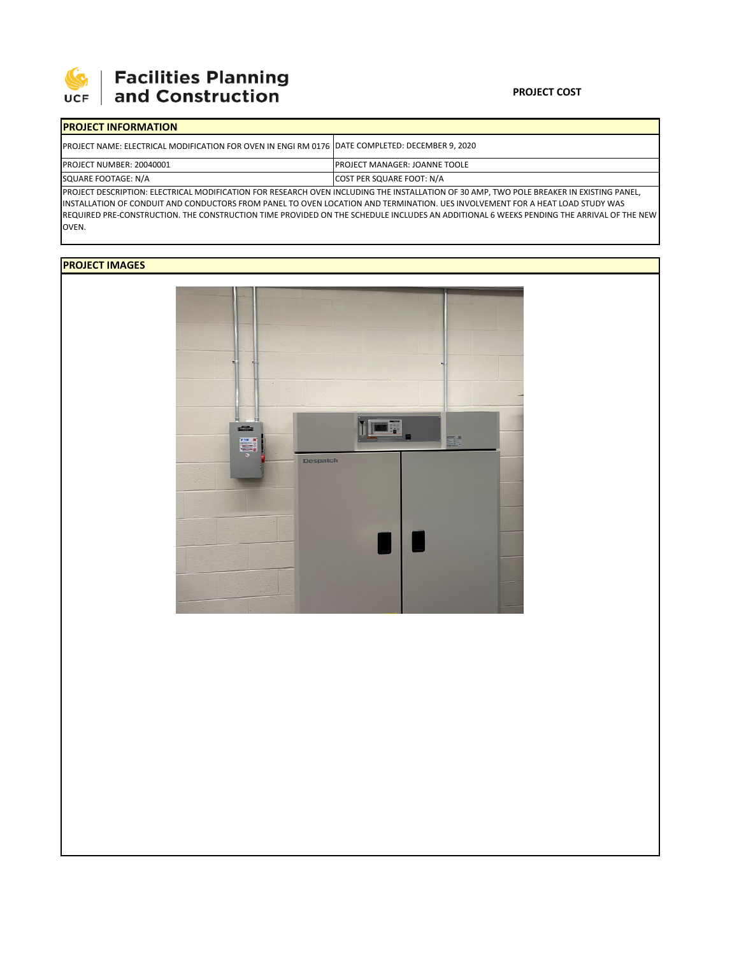

# | Facilities Planning<br>| and Construction

### **PROJECT COST**

| <b>IPROJECT INFORMATION</b>                                                                                                              |                                       |  |  |  |  |
|------------------------------------------------------------------------------------------------------------------------------------------|---------------------------------------|--|--|--|--|
| PROJECT NAME: ELECTRICAL MODIFICATION FOR OVEN IN ENGI RM 0176   DATE COMPLETED: DECEMBER 9, 2020                                        |                                       |  |  |  |  |
| <b>PROJECT NUMBER: 20040001</b>                                                                                                          | <b>IPROJECT MANAGER: JOANNE TOOLE</b> |  |  |  |  |
| SQUARE FOOTAGE: N/A                                                                                                                      | <b>COST PER SQUARE FOOT: N/A</b>      |  |  |  |  |
| PROJECT DESCRIPTION: ELECTRICAL MODIFICATION FOR RESEARCH OVEN INCLUDING THE INSTALLATION OF 30 AMP, TWO POLE BREAKER IN EXISTING PANEL, |                                       |  |  |  |  |

INSTALLATION OF CONDUIT AND CONDUCTORS FROM PANEL TO OVEN LOCATION AND TERMINATION. UES INVOLVEMENT FOR A HEAT LOAD STUDY WAS REQUIRED PRE-CONSTRUCTION. THE CONSTRUCTION TIME PROVIDED ON THE SCHEDULE INCLUDES AN ADDITIONAL 6 WEEKS PENDING THE ARRIVAL OF THE NEW OVEN.

## **PROJECT IMAGES**